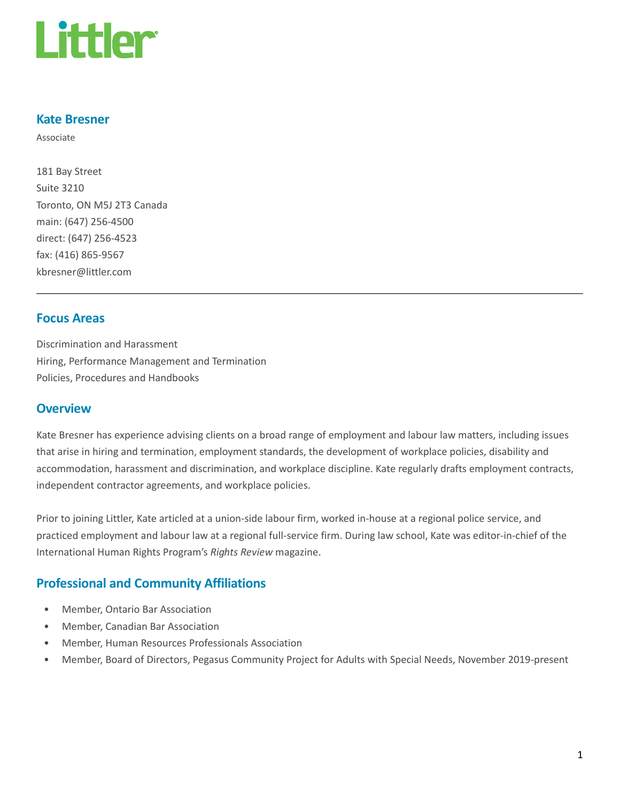

### Kate Bresner

Associate

181 Bay Street Suite 3210 Toronto, ON M5J 2T3 Canada main: (647) 256-4500 direct: (647) 256-4523 fax: (416) 865-9567 kbresner@littler.com

### Focus Areas

Discrimination and Harassment Hiring, Performance Management and Termination Policies, Procedures and Handbooks

### **Overview**

Kate Bresner has experience advising clients on a broad range of employment and labour law matters, including issues that arise in hiring and termination, employment standards, the development of workplace policies, disability and accommodation, harassment and discrimination, and workplace discipline. Kate regularly drafts employment contracts, independent contractor agreements, and workplace policies.

Prior to joining Littler, Kate articled at a union-side labour firm, worked in-house at a regional police service, and practiced employment and labour law at a regional full-service firm. During law school, Kate was editor-in-chief of the International Human Rights Program's Rights Review magazine.

# Professional and Community Affiliations

- Member, Ontario Bar Association
- Member, Canadian Bar Association
- Member, Human Resources Professionals Association
- Member, Board of Directors, Pegasus Community Project for Adults with Special Needs, November 2019-present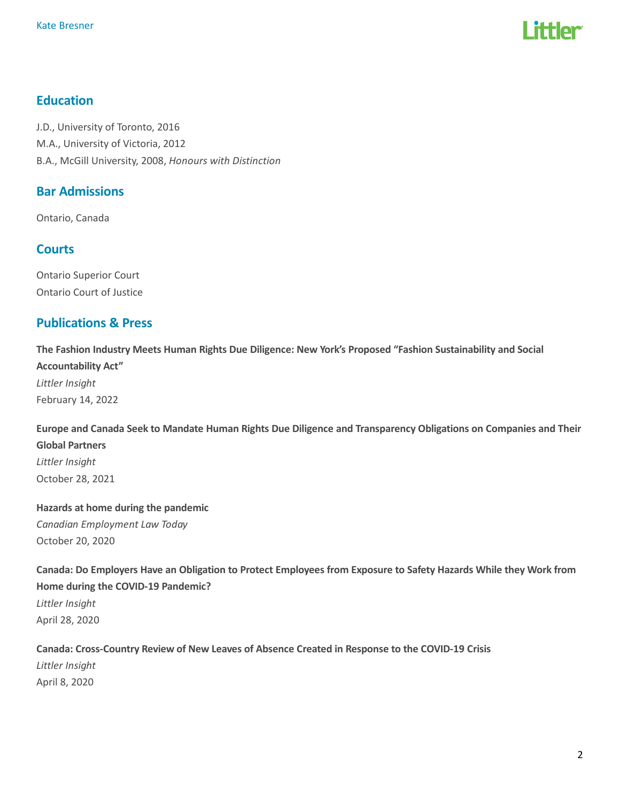

# Education

J.D., University of Toronto, 2016 M.A., University of Victoria, 2012 B.A., McGill University, 2008, Honours with Distinction

# Bar Admissions

Ontario, Canada

### **Courts**

Ontario Superior Court Ontario Court of Justice

### Publications & Press

The Fashion Industry Meets Human Rights Due Diligence: New York's Proposed "Fashion Sustainability and Social Accountability Act" Littler Insight February 14, 2022

Europe and Canada Seek to Mandate Human Rights Due Diligence and Transparency Obligations on Companies and Their Global Partners Littler Insight October 28, 2021

# Hazards at home during the pandemic Canadian Employment Law Today October 20, 2020

Canada: Do Employers Have an Obligation to Protect Employees from Exposure to Safety Hazards While they Work from Home during the COVID-19 Pandemic? Littler Insight April 28, 2020

# Canada: Cross-Country Review of New Leaves of Absence Created in Response to the COVID-19 Crisis Littler Insight April 8, 2020